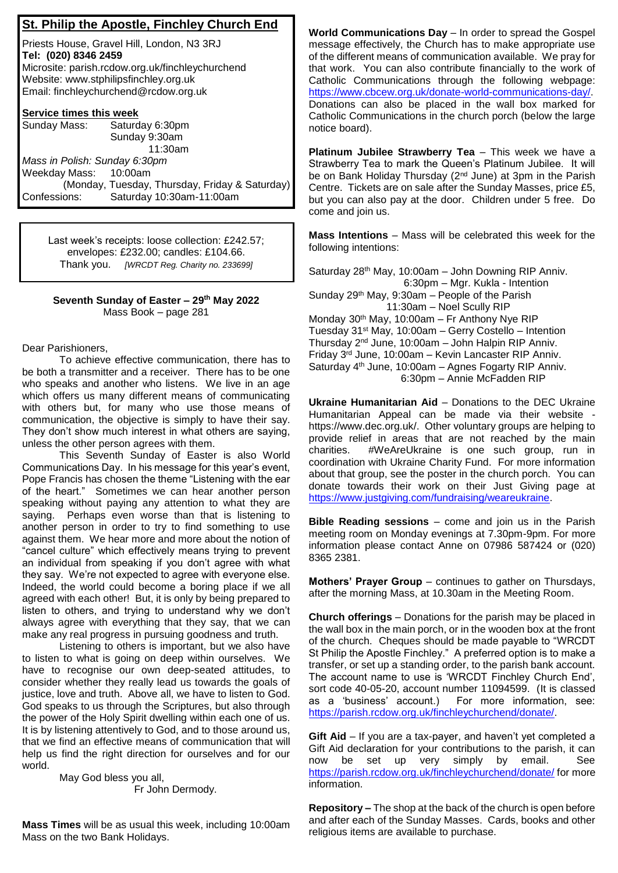## **St. Philip the Apostle, Finchley Church End**

Priests House, Gravel Hill, London, N3 3RJ **Tel: (020) 8346 2459** Microsite: parish.rcdow.org.uk/finchleychurchend Website: www.stphilipsfinchley.org.uk Email: finchleychurchend@rcdow.org.uk

## **Service times this week**

| Sunday Mass:                  | Saturday 6:30pm                                |
|-------------------------------|------------------------------------------------|
|                               | Sunday 9:30am                                  |
|                               | 11:30am                                        |
| Mass in Polish: Sunday 6:30pm |                                                |
| Weekday Mass: 10:00am         |                                                |
|                               | (Monday, Tuesday, Thursday, Friday & Saturday) |
| Confessions:                  | Saturday 10:30am-11:00am                       |

Last week's receipts: loose collection: £242.57; envelopes: £232.00; candles: £104.66. Thank you. *[WRCDT Reg. Charity no. 233699]*

## **Seventh Sunday of Easter – 29th May 2022** Mass Book – page 281

Dear Parishioners,

To achieve effective communication, there has to be both a transmitter and a receiver. There has to be one who speaks and another who listens. We live in an age which offers us many different means of communicating with others but, for many who use those means of communication, the objective is simply to have their say. They don't show much interest in what others are saying, unless the other person agrees with them.

This Seventh Sunday of Easter is also World Communications Day. In his message for this year's event, Pope Francis has chosen the theme "Listening with the ear of the heart." Sometimes we can hear another person speaking without paying any attention to what they are saying. Perhaps even worse than that is listening to another person in order to try to find something to use against them. We hear more and more about the notion of "cancel culture" which effectively means trying to prevent an individual from speaking if you don't agree with what they say. We're not expected to agree with everyone else. Indeed, the world could become a boring place if we all agreed with each other! But, it is only by being prepared to listen to others, and trying to understand why we don't always agree with everything that they say, that we can make any real progress in pursuing goodness and truth.

Listening to others is important, but we also have to listen to what is going on deep within ourselves. We have to recognise our own deep-seated attitudes, to consider whether they really lead us towards the goals of justice, love and truth. Above all, we have to listen to God. God speaks to us through the Scriptures, but also through the power of the Holy Spirit dwelling within each one of us. It is by listening attentively to God, and to those around us, that we find an effective means of communication that will help us find the right direction for ourselves and for our world.

> May God bless you all, Fr John Dermody.

**Mass Times** will be as usual this week, including 10:00am Mass on the two Bank Holidays.

**World Communications Day** – In order to spread the Gospel message effectively, the Church has to make appropriate use of the different means of communication available. We pray for that work. You can also contribute financially to the work of Catholic Communications through the following webpage: https://www.cbcew.org.uk/donate-world-communications-day/. Donations can also be placed in the wall box marked for Catholic Communications in the church porch (below the large notice board).

**Platinum Jubilee Strawberry Tea** – This week we have a Strawberry Tea to mark the Queen's Platinum Jubilee. It will be on Bank Holiday Thursday (2<sup>nd</sup> June) at 3pm in the Parish Centre. Tickets are on sale after the Sunday Masses, price £5, but you can also pay at the door. Children under 5 free. Do come and join us.

**Mass Intentions** – Mass will be celebrated this week for the following intentions:

Saturday 28th May, 10:00am – John Downing RIP Anniv. 6:30pm – Mgr. Kukla - Intention Sunday 29th May, 9:30am – People of the Parish 11:30am – Noel Scully RIP Monday 30th May, 10:00am – Fr Anthony Nye RIP Tuesday 31st May, 10:00am – Gerry Costello – Intention Thursday 2 nd June, 10:00am – John Halpin RIP Anniv. Friday 3 rd June, 10:00am – Kevin Lancaster RIP Anniv. Saturday 4<sup>th</sup> June, 10:00am - Agnes Fogarty RIP Anniv. 6:30pm – Annie McFadden RIP

**Ukraine Humanitarian Aid** – Donations to the DEC Ukraine Humanitarian Appeal can be made via their website https://www.dec.org.uk/. Other voluntary groups are helping to provide relief in areas that are not reached by the main charities. #WeAreUkraine is one such group, run in coordination with Ukraine Charity Fund. For more information about that group, see the poster in the church porch. You can donate towards their work on their Just Giving page at https://www.justgiving.com/fundraising/weareukraine.

**Bible Reading sessions** – come and join us in the Parish meeting room on Monday evenings at 7.30pm-9pm. For more information please contact Anne on 07986 587424 or (020) 8365 2381.

**Mothers' Prayer Group** – continues to gather on Thursdays, after the morning Mass, at 10.30am in the Meeting Room.

**Church offerings** – Donations for the parish may be placed in the wall box in the main porch, or in the wooden box at the front of the church. Cheques should be made payable to "WRCDT St Philip the Apostle Finchley." A preferred option is to make a transfer, or set up a standing order, to the parish bank account. The account name to use is 'WRCDT Finchley Church End', sort code 40-05-20, account number 11094599. (It is classed as a 'business' account.) For more information, see: https://parish.rcdow.org.uk/finchleychurchend/donate/.

**Gift Aid** – If you are a tax-payer, and haven't yet completed a Gift Aid declaration for your contributions to the parish, it can now be set up very simply by email. See https://parish.rcdow.org.uk/finchleychurchend/donate/ for more information.

**Repository –** The shop at the back of the church is open before and after each of the Sunday Masses. Cards, books and other religious items are available to purchase.